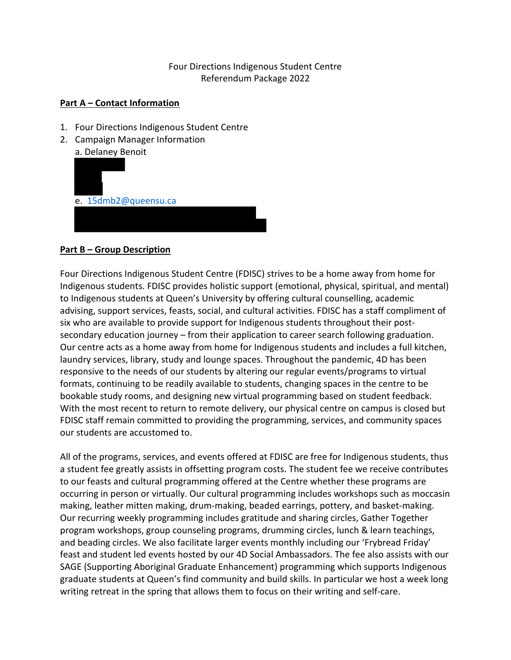# Four Directions Indigenous Student Centre Referendum Package 2022

#### **Part A – Contact Information**

- 1. Four Directions Indigenous Student Centre
- 2. Campaign Manager Information a. Delaney Benoit



### **Part B – Group Description**

Four Directions Indigenous Student Centre (FDISC) strives to be a home away from home for Indigenous students. FDISC provides holistic support (emotional, physical, spiritual, and mental) to Indigenous students at Queen's University by offering cultural counselling, academic advising, support services, feasts, social, and cultural activities. FDISC has a staff compliment of six who are available to provide support for Indigenous students throughout their postsecondary education journey – from their application to career search following graduation. Our centre acts as a home away from home for Indigenous students and includes a full kitchen, laundry services, library, study and lounge spaces. Throughout the pandemic, 4D has been responsive to the needs of our students by altering our regular events/programs to virtual formats, continuing to be readily available to students, changing spaces in the centre to be bookable study rooms, and designing new virtual programming based on student feedback. With the most recent to return to remote delivery, our physical centre on campus is closed but FDISC staff remain committed to providing the programming, services, and community spaces our students are accustomed to.

All of the programs, services, and events offered at FDISC are free for Indigenous students, thus a student fee greatly assists in offsetting program costs. The student fee we receive contributes to our feasts and cultural programming offered at the Centre whether these programs are occurring in person or virtually. Our cultural programming includes workshops such as moccasin making, leather mitten making, drum-making, beaded earrings, pottery, and basket-making. Our recurring weekly programming includes gratitude and sharing circles, Gather Together program workshops, group counseling programs, drumming circles, lunch & learn teachings, and beading circles. We also facilitate larger events monthly including our 'Frybread Friday' feast and student led events hosted by our 4D Social Ambassadors. The fee also assists with our SAGE (Supporting Aboriginal Graduate Enhancement) programming which supports Indigenous graduate students at Queen's find community and build skills. In particular we host a week long writing retreat in the spring that allows them to focus on their writing and self-care.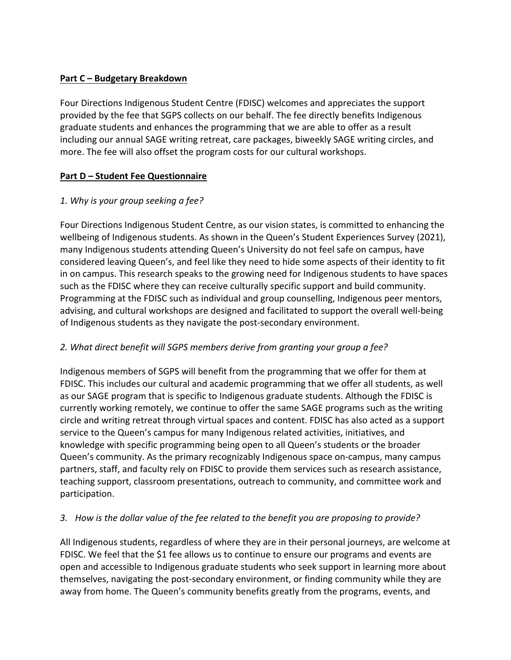### **Part C – Budgetary Breakdown**

Four Directions Indigenous Student Centre (FDISC) welcomes and appreciates the support provided by the fee that SGPS collects on our behalf. The fee directly benefits Indigenous graduate students and enhances the programming that we are able to offer as a result including our annual SAGE writing retreat, care packages, biweekly SAGE writing circles, and more. The fee will also offset the program costs for our cultural workshops.

#### **Part D – Student Fee Questionnaire**

#### *1. Why is your group seeking a fee?*

Four Directions Indigenous Student Centre, as our vision states, is committed to enhancing the wellbeing of Indigenous students. As shown in the Queen's Student Experiences Survey (2021), many Indigenous students attending Queen's University do not feel safe on campus, have considered leaving Queen's, and feel like they need to hide some aspects of their identity to fit in on campus. This research speaks to the growing need for Indigenous students to have spaces such as the FDISC where they can receive culturally specific support and build community. Programming at the FDISC such as individual and group counselling, Indigenous peer mentors, advising, and cultural workshops are designed and facilitated to support the overall well-being of Indigenous students as they navigate the post-secondary environment.

### *2. What direct benefit will SGPS members derive from granting your group a fee?*

Indigenous members of SGPS will benefit from the programming that we offer for them at FDISC. This includes our cultural and academic programming that we offer all students, as well as our SAGE program that is specific to Indigenous graduate students. Although the FDISC is currently working remotely, we continue to offer the same SAGE programs such as the writing circle and writing retreat through virtual spaces and content. FDISC has also acted as a support service to the Queen's campus for many Indigenous related activities, initiatives, and knowledge with specific programming being open to all Queen's students or the broader Queen's community. As the primary recognizably Indigenous space on-campus, many campus partners, staff, and faculty rely on FDISC to provide them services such as research assistance, teaching support, classroom presentations, outreach to community, and committee work and participation.

### *3. How is the dollar value of the fee related to the benefit you are proposing to provide?*

All Indigenous students, regardless of where they are in their personal journeys, are welcome at FDISC. We feel that the \$1 fee allows us to continue to ensure our programs and events are open and accessible to Indigenous graduate students who seek support in learning more about themselves, navigating the post-secondary environment, or finding community while they are away from home. The Queen's community benefits greatly from the programs, events, and